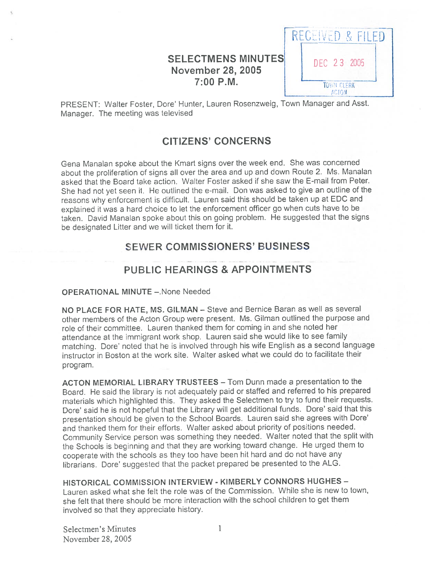# SELECTMENS MINUTES | DEC 23 2005 November28, 2005 7:00 P.M.



PRESENT: Walter Foster, Dore' Hunter, Lauren Rosenzweig, Town Manager and Asst. Manager. The meeting was televised

# CITIZENS' CONCERNS

Gena Manalan spoke about the Kmart signs over the week end. She was concerned about the proliferation of signs all over the area and up and down Route 2. Ms. Manalan asked that the Board take action. Walter Foster asked if she saw the E-mail from Peter. She had not ye<sup>t</sup> seen it. He outlined the e-mail. Don was asked to <sup>g</sup>ive an outline of the reasons why enforcement is difficult. Lauren said this should be taken up at EDO and explained it was <sup>a</sup> hard choice to let the enforcement officer go when cuts have to be taken. David Manalan spoke about this on going problem. He suggested that the signs be designated Litter and we will ticket them for it.

# SEWER COMMISSIONERS' BUSINESS

# PUBLIC HEARINGS & APPOINTMENTS

### OPERATIONAL MINUTE —None Needed

NO PLACE FOR HATE, MS. GILMAN — Steve and Bernice Baran as well as several other members of the Acton Group were present. Ms. Gilman outlined the purpose and role of their committee. Lauren thanked them for coming in and she noted her attendance at the immigrant work shop. Lauren said she would like to see family matching. Dore' noted that he is involved through his wife English as <sup>a</sup> second language instructor in Boston at the work site. Walter asked what we could do to facilitate their program.

ACTON MEMORIAL LIBRARY TRUSTEES — Tom Dunn made <sup>a</sup> presentation to the Board. He said the library is not adequately paid or staffed and referred to his prepare<sup>d</sup> materials which highlighted this. They asked the Selectmen to try to fund their requests. Dore' said he is not hopeful that the Library will get additional funds. Dore' said that this presentation should be <sup>g</sup>iven to the School Boards. Lauren said she agrees with Dote' and thanked them for their efforts. Walter asked about priority of positions needed. Community Service person was something they needed. Walter noted that the split with the Schools is beginning and that they are working toward change. He urge<sup>d</sup> them to cooperate with the schools as they too have been hit hard and do not have any librarians. Dore' suggested that the packet prepared be presented to the ALG.

HISTORICAL COMMISSION INTERVIEW - KIMBERLY CONNORS HUGHES — Lauren asked what she felt the role was of the Commission. While she is new to town, she felt that there should be more interaction with the school children to ge<sup>t</sup> them involved so that they appreciate history.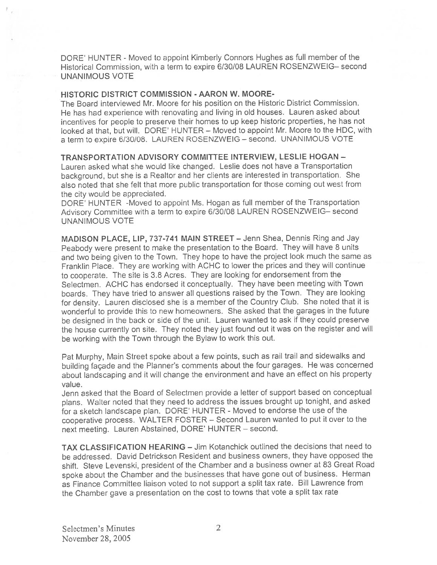DORE' HUNTER - Moved to appoint Kimberly Connors Hughes as full member of the Historical Commission, with <sup>a</sup> term to expire 6/30/08 LAUREN ROSENZWEIG— second UNANIMOUS VOTE

### HISTORIC DISTRICT COMMISSION - AARON W. MOORE-

The Board interviewed Mr. Moore for his position on the Historic District Commission. He has had experience with renovating and living in old houses. Lauren asked about incentives for people to preserve their homes to up keep historic properties, he has not looked at that, but will. DORE' HUNTER — Moved to appoint Mr. Moore to the HDC, with <sup>a</sup> term to expire 6/30/08. LAUREN ROSENZWEIG — second. UNANIMOUS VOTE

### TRANSPORTATION ADVISORY COMMITTEE INTERVIEW, LESLIE HOGAN —

Lauren asked what she would like changed. Leslie does not have <sup>a</sup> Transportation background, but she is <sup>a</sup> Realtor and her clients are interested in transportation. She also noted that she felt that more public transportation for those coming out west from the city would be appreciated.

DORE' HUNTER -Moved to appoint Ms. Hogan as full member of the Transportation Advisory Committee with <sup>a</sup> term to expire 6/30/08 LAUREN ROSENZWEIG— second UNANIMOUS VOTE

MADISON PLACE, LIP, 737-741 MAIN STREET — Jenn Shea, Dennis Ring and Jay Peabody were presen<sup>t</sup> to make the presentation to the Board. They will have <sup>8</sup> units and two being <sup>g</sup>iven to the Town. They hope to have the project look much the same as Franklin Place. They are working with ACHC to lower the prices and they will continue to cooperate. The site is 3.8 Acres. They are looking for endorsement from the Selectmen. ACHC has endorsed it conceptually. They have been meeting with Town boards. They have tried to answer all questions raised by the Town. They are looking for density. Lauren disclosed she is <sup>a</sup> member of the Country Club. She noted that it is wonderful to provide this to new homeowners. She asked that the garages in the future be designed in the back or side of the unit. Lauren wanted to ask if they could preserve the house currently on site. They noted they just found out it was on the register and will be working with the Town through the Bylaw to work this out.

Pat Murphy, Main Street spoke about <sup>a</sup> few points, such as rail trail and sidewalks and building façade and the Planner's comments about the four garages. He was concerned about landscaping and it will change the environment and have an effect on his property value.

Jenn asked that the Board of Selectmen provide <sup>a</sup> letter of suppor<sup>t</sup> based on conceptual <sup>p</sup>lans. Walter noted that they need to address the issues brought up tonight, and asked for a sketch landscape plan. DORE' HUNTER - Moved to endorse the use of the cooperative process. WALTER FOSTER — Second Lauren wanted to pu<sup>t</sup> it over to the next meeting. Lauren Abstained, DORE' HUNTER — second.

TAX CLASSIFICATION HEARING — Jim Kotanchick outlined the decisions that need to be addressed. David Detrickson Resident and business owners, they have opposed the shift. Steve Levenski, president of the Chamber and <sup>a</sup> business owner at <sup>83</sup> Great Road spoke about the Chamber and the businesses that have gone out of business. Herman as Finance Committee liaison voted to not suppor<sup>t</sup> <sup>a</sup> split tax rate. Bill Lawrence from the Chamber gave <sup>a</sup> presentation on the cost to towns that vote <sup>a</sup> split tax rate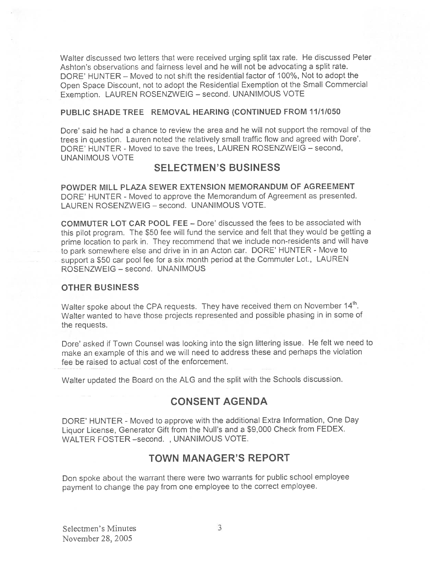Walter discussed two letters that were received urging split tax rate. He discussed Peter Ashton's observations and fairness level and he will not be advocating <sup>a</sup> split rate. DORE' HUNTER — Moved to not shift the residential factor of 100%, Not to adopt the Open Space Discount, not to adopt the Residential Exemption ot the Small Commercial Exemption. LAUREN ROSENZWE1G — second. UNANIMOUS VOTE

## PUBLIC SHADE TREE REMOVAL HEARING (CONTINUED FROM 11111050

Dore' said he had <sup>a</sup> chance to review the area and he will not suppor<sup>t</sup> the removal of the trees in question. Lauren noted the relatively small traffic flow and agree<sup>d</sup> with Dore'. DORE' HUNTER - Moved to save the trees, LAUREN ROSENZWEIG — second, UNANIMOUS VOTE

## SELECTMEN'S BUSINESS

POWDER MILL PLAZA SEWER EXTENSION MEMORANDUM OF AGREEMENT DORE' HUNTER - Moved to approve the Memorandum of Agreement as presented. LAUREN ROSENZWEIG — second. UNANIMOUS VOTE.

COMMUTER LOT CAR POOL FEE — Dore' discussed the fees to be associated with this <sup>p</sup>ilot program. The \$50 fee will fund the service and felt that they would be getting <sup>a</sup> prime location to par<sup>k</sup> in. They recommend that we include non-residents and will have to par<sup>k</sup> somewhere else and drive in in an Acton car. DORE' HUNTER - Move to suppor<sup>t</sup> <sup>a</sup> \$50 car poo<sup>l</sup> fee for <sup>a</sup> six month period at the Commuter Lot., LAUREN ROSENZWEIG — second. UNANIMOUS

### OTHER BUSINESS

Walter spoke about the CPA requests. They have received them on November 14th. Walter wanted to have those projects represented and possible <sup>p</sup>hasing in in some of the requests.

Dore' asked if Town Counsel was looking into the sign littering issue. He felt we need to make an example of this and we will need to address these and perhaps the violation fee be raised to actual cost of the enforcement.

Walter updated the Board on the ALG and the split with the Schools discussion.

## CONSENT AGENDA

DORE' HUNTER - Moved to approve with the additional Extra Information, One Day Liquor License, Generator Gift from the Null's and <sup>a</sup> \$9,000 Check from FEDEX. WALTER FOSTER —second. , UNANIMOUS VOTE.

## TOWN MANAGER'S REPORT

Don spoke about the warrant there were two warrants for public school employee paymen<sup>t</sup> to change the pay from one employee to the correct employee.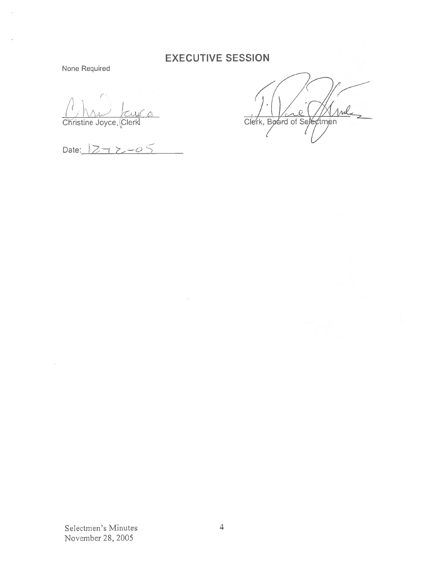# EXECUTIVE SESSION

None Required

) )L Christine Joyce, Clerk CIe'rk, <sup>B</sup> 4rd of Se / 'fm <sup>n</sup>

Date:  $|Z - Z - Q|$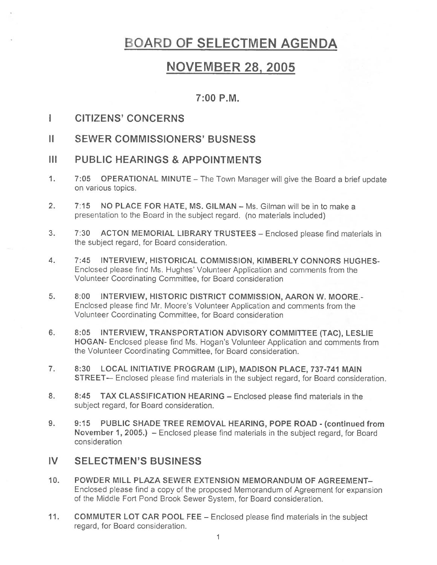# EOARD OF SELECTMEN AGENDA

# NOVEMBER 28, 2005

## 7:00 P.M.

- I CITIZENS' CONCERNS
- II SEWER COMMISSIONERS' BUSNESS
- III PUBLIC HEARINGS & APPOINTMENTS
- 1. 7:05 OPERATIONAL MINUTE The Town Manager will <sup>g</sup>ive the Board <sup>a</sup> brief update on various topics.
- 2. 7:15 NO PLACE FOR HATE, MS. GILMAN Ms. Gilman will be in to make <sup>a</sup> presentation to the Board in the subject regard. (no materials included)
- 3. 7:30 ACTON MEMORIAL LiBRARY TRUSTEES Enclosed please find materials in the subject regard, for Board consideration.
- 4. 7:45 INTERVIEW, HISTORICAL COMMISSION, KIMBERLY CONNORS HUGHES-Enclosed please find Ms. Hughes' Volunteer Application and comments from the Volunteer Coordinating Committee, for Board consideration
- 5. 2:00 INTERVIEW, HISTORIC DISTRICT COMMISSION, AARON W. MOORE.- Enclosed please find Mr. Moore's Volunteer Application and comments from the Volunteer Coordinating Committee, for Board consideration
- 6. 8:05 INTERVIEW, TRANSPORTATION ADVISORY COMMITTEE (TAC), LESLIE HOGAN- Enclosed please find Ms. Hogan's Volunteer Application and comments from the Volunteer Coordinating Committee, for Board consideration.
- 7. 8:30 LOCAL INITIATIVE PROGRAM (LIP), MADISON PLACE, 737-741 MAIN STREET— Enclosed <sup>p</sup>lease find materials in the subject regard, for Board consideration.
- 8. 8:45 TAX CLASSIFICATION HEARING Enclosed please find materials in the subject regard, for Board consideration.
- 9. 9:15 PUBLIC SHADE TREE REMOVAL HEARING, POPE ROAD (continued from November 1,2005.) — Enclosed <sup>p</sup>lease find materials in the subject regard, for Board consideration

# IV SELECTMEN'S BUSINESS

- 10. POWDER MILL PLAZA SEWER EXTENSION MEMORANDUM OF AGREEMENT— Enclosed <sup>p</sup>lease find <sup>a</sup> copy of the proposed Memorandum of Agreement for expansion of the Middle Fort Pond Brook Sewer System, for Board consideration.
- 11. COMMUTER LOT CAR POOL FEE Enclosed <sup>p</sup>lease find materials in the subject regard, for Board consideration.